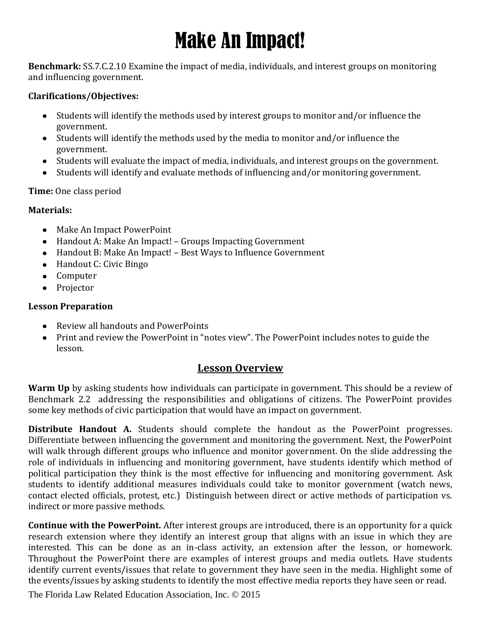# Make An Impact!

**Benchmark:** SS.7.C.2.10 Examine the impact of media, individuals, and interest groups on monitoring and influencing government.

#### **Clarifications/Objectives:**

- Students will identify the methods used by interest groups to monitor and/or influence the government.
- Students will identify the methods used by the media to monitor and/or influence the government.
- Students will evaluate the impact of media, individuals, and interest groups on the government.
- Students will identify and evaluate methods of influencing and/or monitoring government.

#### **Time:** One class period

#### **Materials:**

- Make An Impact PowerPoint
- Handout A: Make An Impact! Groups Impacting Government
- Handout B: Make An Impact! Best Ways to Influence Government
- Handout C: Civic Bingo
- Computer
- Projector

#### **Lesson Preparation**

- Review all handouts and PowerPoints
- Print and review the PowerPoint in "notes view". The PowerPoint includes notes to guide the lesson.

#### **Lesson Overview**

**Warm Up** by asking students how individuals can participate in government. This should be a review of Benchmark 2.2 addressing the responsibilities and obligations of citizens. The PowerPoint provides some key methods of civic participation that would have an impact on government.

**Distribute Handout A.** Students should complete the handout as the PowerPoint progresses. Differentiate between influencing the government and monitoring the government. Next, the PowerPoint will walk through different groups who influence and monitor government. On the slide addressing the role of individuals in influencing and monitoring government, have students identify which method of political participation they think is the most effective for influencing and monitoring government. Ask students to identify additional measures individuals could take to monitor government (watch news, contact elected officials, protest, etc.) Distinguish between direct or active methods of participation vs. indirect or more passive methods.

**Continue with the PowerPoint.** After interest groups are introduced, there is an opportunity for a quick research extension where they identify an interest group that aligns with an issue in which they are interested. This can be done as an in-class activity, an extension after the lesson, or homework. Throughout the PowerPoint there are examples of interest groups and media outlets. Have students identify current events/issues that relate to government they have seen in the media. Highlight some of the events/issues by asking students to identify the most effective media reports they have seen or read.

The Florida Law Related Education Association, Inc. © 2015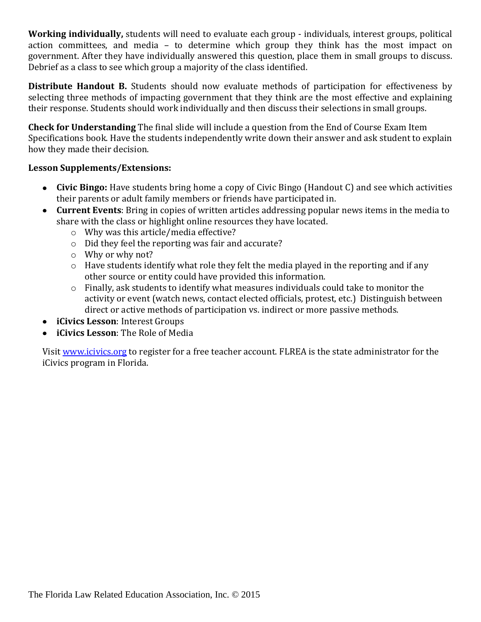**Working individually,** students will need to evaluate each group - individuals, interest groups, political action committees, and media – to determine which group they think has the most impact on government. After they have individually answered this question, place them in small groups to discuss. Debrief as a class to see which group a majority of the class identified.

**Distribute Handout B.** Students should now evaluate methods of participation for effectiveness by selecting three methods of impacting government that they think are the most effective and explaining their response. Students should work individually and then discuss their selections in small groups.

**Check for Understanding** The final slide will include a question from the End of Course Exam Item Specifications book. Have the students independently write down their answer and ask student to explain how they made their decision.

#### **Lesson Supplements/Extensions:**

- **Civic Bingo:** Have students bring home a copy of Civic Bingo (Handout C) and see which activities their parents or adult family members or friends have participated in.
- **Current Events**: Bring in copies of written articles addressing popular news items in the media to share with the class or highlight online resources they have located.
	- o Why was this article/media effective?
	- o Did they feel the reporting was fair and accurate?
	- o Why or why not?
	- o Have students identify what role they felt the media played in the reporting and if any other source or entity could have provided this information.
	- o Finally, ask students to identify what measures individuals could take to monitor the activity or event (watch news, contact elected officials, protest, etc.) Distinguish between direct or active methods of participation vs. indirect or more passive methods.
- **iCivics Lesson**: Interest Groups
- **iCivics Lesson**: The Role of Media

Visit [www.icivics.org](http://www.icivics.org/) to register for a free teacher account. FLREA is the state administrator for the iCivics program in Florida.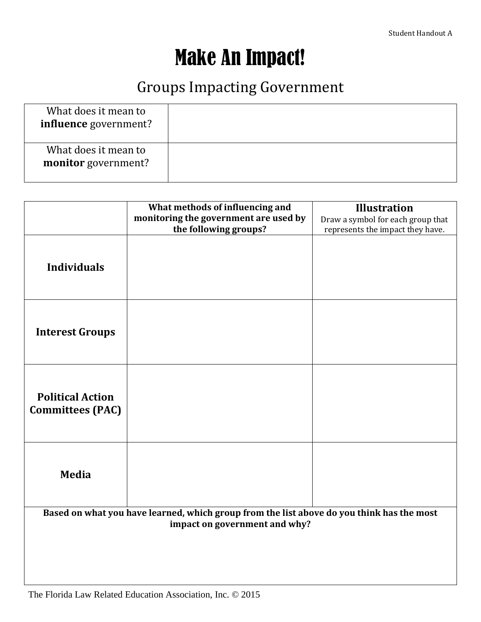### Make An Impact!

### Groups Impacting Government

| What does it mean to<br>influence government? |  |
|-----------------------------------------------|--|
| What does it mean to<br>monitor government?   |  |

|                                                                                                                            | What methods of influencing and       | <b>Illustration</b>               |  |  |  |  |  |
|----------------------------------------------------------------------------------------------------------------------------|---------------------------------------|-----------------------------------|--|--|--|--|--|
|                                                                                                                            | monitoring the government are used by | Draw a symbol for each group that |  |  |  |  |  |
|                                                                                                                            | the following groups?                 |                                   |  |  |  |  |  |
|                                                                                                                            |                                       | represents the impact they have.  |  |  |  |  |  |
|                                                                                                                            |                                       |                                   |  |  |  |  |  |
|                                                                                                                            |                                       |                                   |  |  |  |  |  |
| <b>Individuals</b>                                                                                                         |                                       |                                   |  |  |  |  |  |
|                                                                                                                            |                                       |                                   |  |  |  |  |  |
|                                                                                                                            |                                       |                                   |  |  |  |  |  |
|                                                                                                                            |                                       |                                   |  |  |  |  |  |
|                                                                                                                            |                                       |                                   |  |  |  |  |  |
|                                                                                                                            |                                       |                                   |  |  |  |  |  |
| <b>Interest Groups</b>                                                                                                     |                                       |                                   |  |  |  |  |  |
|                                                                                                                            |                                       |                                   |  |  |  |  |  |
|                                                                                                                            |                                       |                                   |  |  |  |  |  |
|                                                                                                                            |                                       |                                   |  |  |  |  |  |
|                                                                                                                            |                                       |                                   |  |  |  |  |  |
| <b>Political Action</b>                                                                                                    |                                       |                                   |  |  |  |  |  |
| <b>Committees (PAC)</b>                                                                                                    |                                       |                                   |  |  |  |  |  |
|                                                                                                                            |                                       |                                   |  |  |  |  |  |
|                                                                                                                            |                                       |                                   |  |  |  |  |  |
|                                                                                                                            |                                       |                                   |  |  |  |  |  |
|                                                                                                                            |                                       |                                   |  |  |  |  |  |
|                                                                                                                            |                                       |                                   |  |  |  |  |  |
| <b>Media</b>                                                                                                               |                                       |                                   |  |  |  |  |  |
|                                                                                                                            |                                       |                                   |  |  |  |  |  |
|                                                                                                                            |                                       |                                   |  |  |  |  |  |
|                                                                                                                            |                                       |                                   |  |  |  |  |  |
| Based on what you have learned, which group from the list above do you think has the most<br>impact on government and why? |                                       |                                   |  |  |  |  |  |
|                                                                                                                            |                                       |                                   |  |  |  |  |  |
|                                                                                                                            |                                       |                                   |  |  |  |  |  |
|                                                                                                                            |                                       |                                   |  |  |  |  |  |
|                                                                                                                            |                                       |                                   |  |  |  |  |  |
|                                                                                                                            |                                       |                                   |  |  |  |  |  |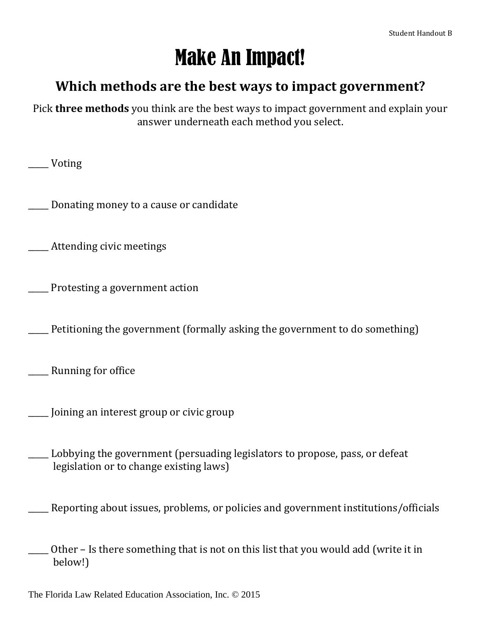## Make An Impact!

### **Which methods are the best ways to impact government?**

Pick **three methods** you think are the best ways to impact government and explain your answer underneath each method you select.

\_\_\_\_\_ Voting

\_\_\_\_\_ Donating money to a cause or candidate

\_\_\_\_\_ Attending civic meetings

\_\_\_\_\_ Protesting a government action

Petitioning the government (formally asking the government to do something)

\_\_\_\_\_ Running for office

\_\_\_\_\_ Joining an interest group or civic group

- \_\_\_\_\_ Lobbying the government (persuading legislators to propose, pass, or defeat legislation or to change existing laws)
- \_\_\_\_\_ Reporting about issues, problems, or policies and government institutions/officials
- Other Is there something that is not on this list that you would add (write it in below!)

The Florida Law Related Education Association, Inc. © 2015